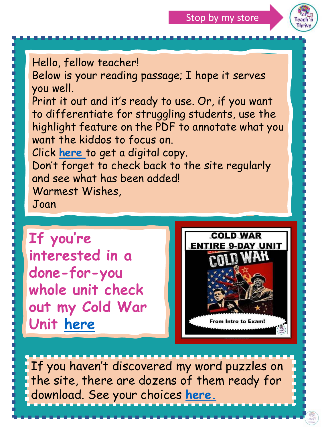

Hello, fellow teacher!

Below is your reading passage; I hope it serves you well.

Print it out and it's ready to use. Or, if you want to differentiate for struggling students, use the highlight feature on the PDF to annotate what you want the kiddos to focus on.

Click **[here](https://docs.google.com/presentation/d/156Hd-1Ko_hxbt8lPKXzm0HnrGRS2trcF5AV0in8UmTY/copy)** to get a digital copy.

Don't forget to check back to the site regularly and see what has been added! Warmest Wishes,

Joan

**If you're interested in a done-for-you whole unit check out my Cold War Unit [here](https://www.teacherspayteachers.com/Product/COLD-WAR-UNIT-9-DAY-BUNDLE-Intro-to-Exam-Differentiated-Distance-Learning-5500992?utm_source=cold%20war%20unit&utm_campaign=Offered%20in%20summaries)**



If you haven't discovered my word puzzles on the site, there are dozens of them ready for download. See your choices **[here.](https://teachnthrive.com/review-puzzles/american-history-word-puzzles-for-every-unit-free-downloads/)**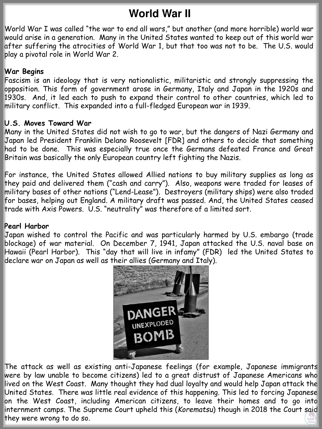## **World War II**

World War I was called "the war to end all wars," but another (and more horrible) world war would arise in a generation. Many in the United States wanted to keep out of this world war after suffering the atrocities of World War 1, but that too was not to be. The U.S. would play a pivotal role in World War 2.

### **War Begins**

Fascism is an ideology that is very nationalistic, militaristic and strongly suppressing the opposition. This form of government arose in Germany, Italy and Japan in the 1920s and 1930s. And, it led each to push to expand their control to other countries, which led to military conflict. This expanded into a full-fledged European war in 1939.

#### **U.S. Moves Toward War**

Many in the United States did not wish to go to war, but the dangers of Nazi Germany and Japan led President Franklin Delano Roosevelt [FDR] and others to decide that something had to be done. This was especially true once the Germans defeated France and Great Britain was basically the only European country left fighting the Nazis.

For instance, the United States allowed Allied nations to buy military supplies as long as they paid and delivered them ("cash and carry"). Also, weapons were traded for leases of military bases of other nations ("Lend-Lease"). Destroyers (military ships) were also traded for bases, helping out England. A military draft was passed. And, the United States ceased trade with Axis Powers. U.S. "neutrality" was therefore of a limited sort.

#### **Pearl Harbor**

Japan wished to control the Pacific and was particularly harmed by U.S. embargo (trade blockage) of war material. On December 7, 1941, Japan attacked the U.S. naval base on Hawaii (Pearl Harbor). This "day that will live in infamy" (FDR) led the United States to declare war on Japan as well as their allies (Germany and Italy).



The attack as well as existing anti-Japanese feelings (for example, Japanese immigrants were by law unable to become citizens) led to a great distrust of Japanese Americans who lived on the West Coast. Many thought they had dual loyalty and would help Japan attack the United States. There was little real evidence of this happening. This led to forcing Japanese on the West Coast, including American citizens, to leave their homes and to go into internment camps. The Supreme Court upheld this (*Korematsu*) though in 2018 the Court said they were wrong to do so.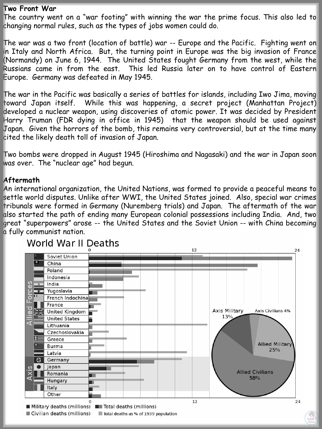#### **Two Front War**

The country went on a "war footing" with winning the war the prime focus. This also led to changing normal rules, such as the types of jobs women could do.

The war was a two front (location of battle) war -- Europe and the Pacific. Fighting went on in Italy and North Africa. But, the turning point in Europe was the big invasion of France (Normandy) on June 6, 1944. The United States fought Germany from the west, while the Russians came in from the east. This led Russia later on to have control of Eastern Europe. Germany was defeated in May 1945.

The war in the Pacific was basically a series of battles for islands, including Iwo Jima, moving toward Japan itself. While this was happening, a secret project (Manhattan Project) developed a nuclear weapon, using discoveries of atomic power. It was decided by President Harry Truman (FDR dying in office in 1945) that the weapon should be used against Japan. Given the horrors of the bomb, this remains very controversial, but at the time many cited the likely death toll of invasion of Japan.

Two bombs were dropped in August 1945 (Hiroshima and Nagasaki) and the war in Japan soon was over. The "nuclear age" had begun.

#### **Aftermath**

An international organization, the United Nations, was formed to provide a peaceful means to settle world disputes. Unlike after WWI, the United States joined. Also, special war crimes tribunals were formed in Germany (Nuremberg trials) and Japan. The aftermath of the war also started the path of ending many European colonial possessions including India. And, two great "superpowers" arose -- the United States and the Soviet Union -- with China becoming a fully communist nation.



## World War II Deaths